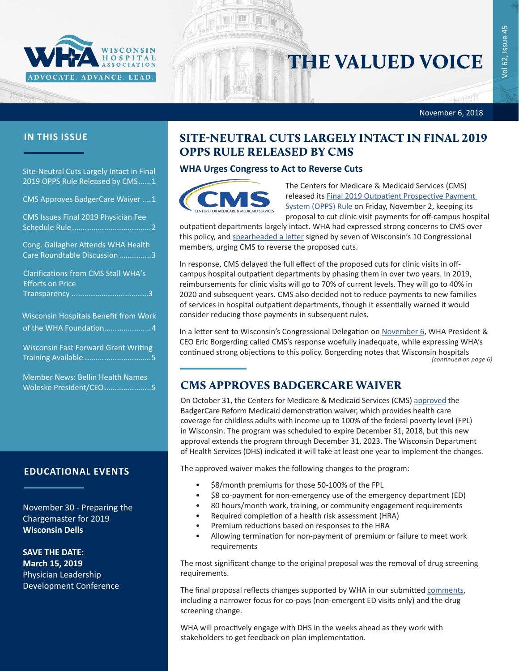

# THE VALUED VOICE

November 6, 2018

### **IN THIS ISSUE**

Site-Neutral Cuts Largely Intact in Final 2019 OPPS Rule Released by CMS......1

CMS Approves BadgerCare Waiver ....1

[CMS Issues Final 2019 Physician Fee](#page-1-0)  [Schedule Rule.....................................2](#page-1-0)

[Cong. Gallagher Attends WHA Health](#page-2-0)  [Care Roundtable Discussion](#page-2-0) ...............3

[Clarifications from CMS Stall](#page-2-0) WHA's [Efforts](#page-2-0) on Price [Transparency ...................................](#page-2-0).3

[Wisconsin Hospitals Benefit from Work](#page-3-0) [of the WHA Foundation](#page-3-0).......................4

[Wisconsin Fast Forward Grant Writing](#page-4-0)  Training Available [...............................5](#page-4-0)

[Member News: Bellin Health Names](#page-4-0)  [Woleske President/CEO](#page-4-0).......................5

#### **EDUCATIONAL EVENTS**

November 30 - [Preparing the](http://www.cvent.com/events/18l-chargemaster-1130/event-summary-52377b96df1f4e7e85f296ae5dbc59db.aspx)  [Chargemaster for 2019](http://www.cvent.com/events/18l-chargemaster-1130/event-summary-52377b96df1f4e7e85f296ae5dbc59db.aspx) **Wisconsin Dells**

**SAVE THE DATE: March 15, 2019** Physician Leadership Development Conference

# SITE-NEUTRAL CUTS LARGELY INTACT IN FINAL 2019 OPPS RULE RELEASED BY CMS

### **WHA Urges Congress to Act to Reverse Cuts**



The Centers for Medicare & Medicaid Services (CMS) released its **Final 2019 Outpatient Prospective Payment** [System \(OPPS\) Rule](https://s3.amazonaws.com/public-inspection.federalregister.gov/2018-24243.pdf) on Friday, November 2, keeping its proposal to cut clinic visit payments for off-campus hospital

outpatient departments largely intact. WHA had expressed strong concerns to CMS over this policy, and [spearheaded a letter](https://www.wha.org/WisconsinHospitalAssociation/media/WHACommon/CommentLetters/2018Letter-to-CMS-site-neutral9-28.PDF) signed by seven of Wisconsin's 10 Congressional members, urging CMS to reverse the proposed cuts.

In response, CMS delayed the full effect of the proposed cuts for clinic visits in offcampus hospital outpatient departments by phasing them in over two years. In 2019, reimbursements for clinic visits will go to 70% of current levels. They will go to 40% in 2020 and subsequent years. CMS also decided not to reduce payments to new families of services in hospital outpatient departments, though it essentially warned it would consider reducing those payments in subsequent rules.

In a letter sent to Wisconsin's Congressional Delegation on [November 6](www.wha.org/WisconsinHospitalAssociation/media/WHACommon/CommentLetters/WHA-Letter-to-WI-Delegation-Site-Neutral-Cuts-in-Final-CMS-2019-OPPS-Rule-11-6-18.pdf), WHA President & CEO Eric Borgerding called CMS's response woefully inadequate, while expressing WHA's continued strong objections to this policy. Borgerding notes that Wisconsin hospitals *(continued on page 6)*

## CMS APPROVES BADGERCARE WAIVER

On October 31, the Centers for Medicare & Medicaid Services (CMS) [approved](https://www.dhs.wisconsin.gov/badgercareplus/clawaiver-approvedapp.pdf) the BadgerCare Reform Medicaid demonstration waiver, which provides health care coverage for childless adults with income up to 100% of the federal poverty level (FPL) in Wisconsin. The program was scheduled to expire December 31, 2018, but this new approval extends the program through December 31, 2023. The Wisconsin Department of Health Services (DHS) indicated it will take at least one year to implement the changes.

The approved waiver makes the following changes to the program:

- \$8/month premiums for those 50-100% of the FPL
- \$8 co-payment for non-emergency use of the emergency department (ED)
- 80 hours/month work, training, or community engagement requirements
- Required completion of a health risk assessment (HRA)
- Premium reductions based on responses to the HRA
- Allowing termination for non-payment of premium or failure to meet work requirements

The most significant change to the original proposal was the removal of drug screening requirements.

The final proposal reflects changes supported by WHA in our submitted [comments](https://www.wha.org/WisconsinHospitalAssociation/media/WHANewsLetters/2018PDF/WHAComments-1115WaiverExtension1-5-18.pdf), including a narrower focus for co-pays (non-emergent ED visits only) and the drug screening change.

WHA will proactively engage with DHS in the weeks ahead as they work with stakeholders to get feedback on plan implementation.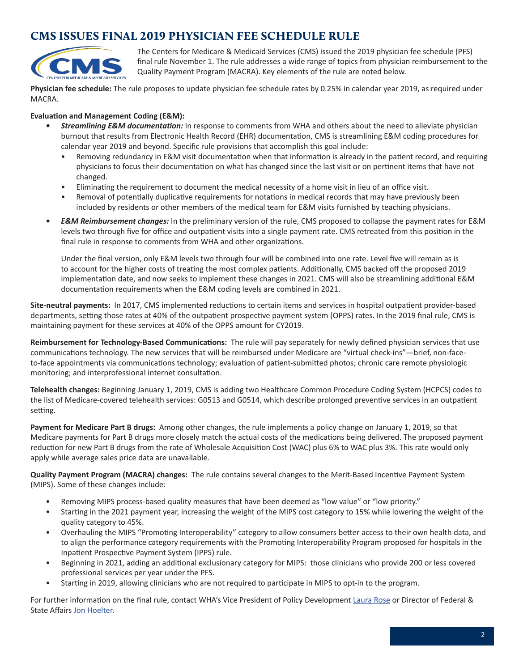# <span id="page-1-0"></span>CMS ISSUES FINAL 2019 PHYSICIAN FEE SCHEDULE RULE



The Centers for Medicare & Medicaid Services (CMS) issued the 2019 physician fee schedule (PFS) final rule November 1. The rule addresses a wide range of topics from physician reimbursement to the Quality Payment Program (MACRA). Key elements of the rule are noted below.

**Physician fee schedule:** The rule proposes to update physician fee schedule rates by 0.25% in calendar year 2019, as required under MACRA.

### **Evaluation and Management Coding (E&M):**

- *• Streamlining E&M documentation:* In response to comments from WHA and others about the need to alleviate physician burnout that results from Electronic Health Record (EHR) documentation, CMS is streamlining E&M coding procedures for calendar year 2019 and beyond. Specific rule provisions that accomplish this goal include:
	- Removing redundancy in E&M visit documentation when that information is already in the patient record, and requiring physicians to focus their documentation on what has changed since the last visit or on pertinent items that have not changed.
	- Eliminating the requirement to document the medical necessity of a home visit in lieu of an office visit.
	- Removal of potentially duplicative requirements for notations in medical records that may have previously been included by residents or other members of the medical team for E&M visits furnished by teaching physicians.
- *• E&M Reimbursement changes:* In the preliminary version of the rule, CMS proposed to collapse the payment rates for E&M levels two through five for office and outpatient visits into a single payment rate. CMS retreated from this position in the final rule in response to comments from WHA and other organizations.

Under the final version, only E&M levels two through four will be combined into one rate. Level five will remain as is to account for the higher costs of treating the most complex patients. Additionally, CMS backed off the proposed 2019 implementation date, and now seeks to implement these changes in 2021. CMS will also be streamlining additional E&M documentation requirements when the E&M coding levels are combined in 2021.

**Site-neutral payments:** In 2017, CMS implemented reductions to certain items and services in hospital outpatient provider-based departments, setting those rates at 40% of the outpatient prospective payment system (OPPS) rates. In the 2019 final rule, CMS is maintaining payment for these services at 40% of the OPPS amount for CY2019.

**Reimbursement for Technology-Based Communications:** The rule will pay separately for newly defined physician services that use communications technology. The new services that will be reimbursed under Medicare are "virtual check-ins"—brief, non-faceto-face appointments via communications technology; evaluation of patient-submitted photos; chronic care remote physiologic monitoring; and interprofessional internet consultation.

**Telehealth changes:** Beginning January 1, 2019, CMS is adding two Healthcare Common Procedure Coding System (HCPCS) codes to the list of Medicare-covered telehealth services: G0513 and G0514, which describe prolonged preventive services in an outpatient setting.

**Payment for Medicare Part B drugs:** Among other changes, the rule implements a policy change on January 1, 2019, so that Medicare payments for Part B drugs more closely match the actual costs of the medications being delivered. The proposed payment reduction for new Part B drugs from the rate of Wholesale Acquisition Cost (WAC) plus 6% to WAC plus 3%. This rate would only apply while average sales price data are unavailable.

**Quality Payment Program (MACRA) changes:** The rule contains several changes to the Merit-Based Incentive Payment System (MIPS). Some of these changes include:

- Removing MIPS process-based quality measures that have been deemed as "low value" or "low priority."
- Starting in the 2021 payment year, increasing the weight of the MIPS cost category to 15% while lowering the weight of the quality category to 45%.
- Overhauling the MIPS "Promoting Interoperability" category to allow consumers better access to their own health data, and to align the performance category requirements with the Promoting Interoperability Program proposed for hospitals in the Inpatient Prospective Payment System (IPPS) rule.
- Beginning in 2021, adding an additional exclusionary category for MIPS: those clinicians who provide 200 or less covered professional services per year under the PFS.
- Starting in 2019, allowing clinicians who are not required to participate in MIPS to opt-in to the program.

For further information on the final rule, contact WHA's Vice President of Policy Development [Laura Rose](mailto:lrose@wha.org) or Director of Federal & State Affairs [Jon Hoelter](mailto:jhoelter@wha.org).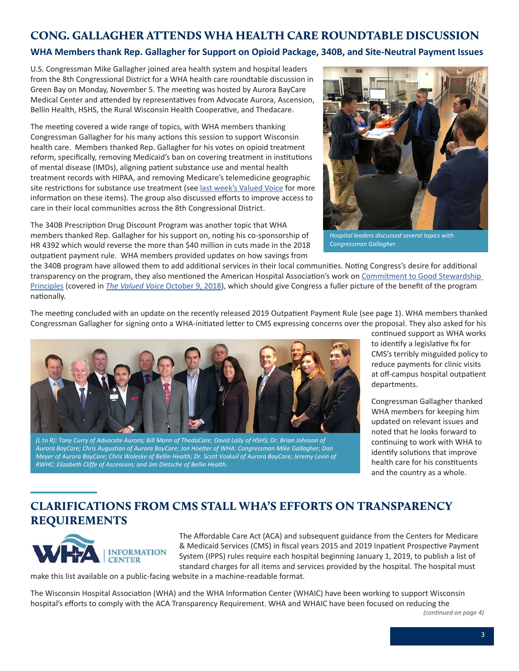### <span id="page-2-0"></span>CONG. GALLAGHER ATTENDS WHA HEALTH CARE ROUNDTABLE DISCUSSION

### **WHA Members thank Rep. Gallagher for Support on Opioid Package, 340B, and Site-Neutral Payment Issues**

U.S. Congressman Mike Gallagher joined area health system and hospital leaders from the 8th Congressional District for a WHA health care roundtable discussion in Green Bay on Monday, November 5. The meeting was hosted by Aurora BayCare Medical Center and attended by representatives from Advocate Aurora, Ascension, Bellin Health, HSHS, the Rural Wisconsin Health Cooperative, and Thedacare.

The meeting covered a wide range of topics, with WHA members thanking Congressman Gallagher for his many actions this session to support Wisconsin health care. Members thanked Rep. Gallagher for his votes on opioid treatment reform, specifically, removing Medicaid's ban on covering treatment in institutions of mental disease (IMDs), aligning patient substance use and mental health treatment records with HIPAA, and removing Medicare's telemedicine geographic site restrictions for substance use treatment (see [last week's Valued Voice](https://www.wha.org/WisconsinHospitalAssociation/media/WHANewsLetters/2018PDF/WHA-Newsletter-10-30-2018.pdf#page=1) for more information on these items). The group also discussed efforts to improve access to care in their local communities across the 8th Congressional District.

The 340B Prescription Drug Discount Program was another topic that WHA members thanked Rep. Gallagher for his support on, noting his co-sponsorship of HR 4392 which would reverse the more than \$40 million in cuts made in the 2018 outpatient payment rule. WHA members provided updates on how savings from



*Hospital leaders discussed several topics with Congressman Gallagher.* 

the 340B program have allowed them to add additional services in their local communities. Noting Congress's desire for additional transparency on the program, they also mentioned the American Hospital Association's work on [Commitment to Good Stewardship](https://www.aha.org/form/340b-hospital-commitment-to-good)  [Principles](https://www.aha.org/form/340b-hospital-commitment-to-good) (covered in *[The Valued Voice](https://www.wha.org/WisconsinHospitalAssociation/media/WHANewsLetters/2018PDF/WHA-Newsletter-10-9-2018.pdf#page=1)* October 9, 2018), which should give Congress a fuller picture of the benefit of the program nationally.

The meeting concluded with an update on the recently released 2019 Outpatient Payment Rule (see page 1). WHA members thanked Congressman Gallagher for signing onto a WHA-initiated letter to CMS expressing concerns over the proposal. They also asked for his



*(L to R): Tony Curry of Advocate Aurora; Bill Mann of ThedaCare; David Lally of HSHS; Dr. Brian Johnson of Aurora BayCare; Chris Augustian of Aurora BayCare; Jon Hoelter of WHA: Congressman Mike Gallagher; Dan Meyer of Aurora BayCare; Chris Woleske of Bellin Health; Dr. Scott Voskuil of Aurora BayCare; Jeremy Levin of RWHC; Elizabeth Cliffe of Ascension; and Jim Dietsche of Bellin Health.*

continued support as WHA works to identify a legislative fix for CMS's terribly misguided policy to reduce payments for clinic visits at off-campus hospital outpatient departments.

Congressman Gallagher thanked WHA members for keeping him updated on relevant issues and noted that he looks forward to continuing to work with WHA to identify solutions that improve health care for his constituents and the country as a whole.

# CLARIFICATIONS FROM CMS STALL WHA'S EFFORTS ON TRANSPARENCY REQUIREMENTS



The Affordable Care Act (ACA) and subsequent guidance from the Centers for Medicare & Medicaid Services (CMS) in fiscal years 2015 and 2019 Inpatient Prospective Payment System (IPPS) rules require each hospital beginning January 1, 2019, to publish a list of standard charges for all items and services provided by the hospital. The hospital must

make this list available on a public-facing website in a machine-readable format.

The Wisconsin Hospital Association (WHA) and the WHA Information Center (WHAIC) have been working to support Wisconsin hospital's efforts to comply with the ACA Transparency Requirement. WHA and WHAIC have been focused on reducing the

*(continued on page 4)*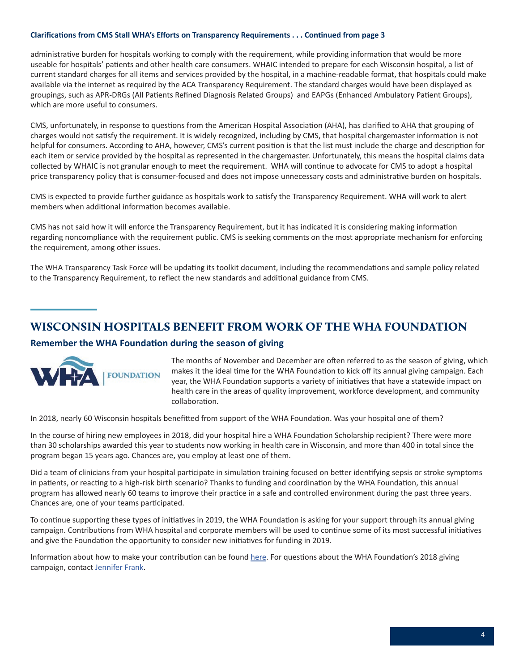#### <span id="page-3-0"></span>**Clarifications from CMS Stall WHA's Efforts on Transparency Requirements . . . Continued from page 3**

administrative burden for hospitals working to comply with the requirement, while providing information that would be more useable for hospitals' patients and other health care consumers. WHAIC intended to prepare for each Wisconsin hospital, a list of current standard charges for all items and services provided by the hospital, in a machine-readable format, that hospitals could make available via the internet as required by the ACA Transparency Requirement. The standard charges would have been displayed as groupings, such as APR-DRGs (All Patients Refined Diagnosis Related Groups) and EAPGs (Enhanced Ambulatory Patient Groups), which are more useful to consumers.

CMS, unfortunately, in response to questions from the American Hospital Association (AHA), has clarified to AHA that grouping of charges would not satisfy the requirement. It is widely recognized, including by CMS, that hospital chargemaster information is not helpful for consumers. According to AHA, however, CMS's current position is that the list must include the charge and description for each item or service provided by the hospital as represented in the chargemaster. Unfortunately, this means the hospital claims data collected by WHAIC is not granular enough to meet the requirement. WHA will continue to advocate for CMS to adopt a hospital price transparency policy that is consumer-focused and does not impose unnecessary costs and administrative burden on hospitals.

CMS is expected to provide further guidance as hospitals work to satisfy the Transparency Requirement. WHA will work to alert members when additional information becomes available.

CMS has not said how it will enforce the Transparency Requirement, but it has indicated it is considering making information regarding noncompliance with the requirement public. CMS is seeking comments on the most appropriate mechanism for enforcing the requirement, among other issues.

The WHA Transparency Task Force will be updating its toolkit document, including the recommendations and sample policy related to the Transparency Requirement, to reflect the new standards and additional guidance from CMS.

### WISCONSIN HOSPITALS BENEFIT FROM WORK OF THE WHA FOUNDATION

### **Remember the WHA Foundation during the season of giving**



The months of November and December are often referred to as the season of giving, which makes it the ideal time for the WHA Foundation to kick off its annual giving campaign. Each year, the WHA Foundation supports a variety of initiatives that have a statewide impact on health care in the areas of quality improvement, workforce development, and community collaboration.

In 2018, nearly 60 Wisconsin hospitals benefitted from support of the WHA Foundation. Was your hospital one of them?

In the course of hiring new employees in 2018, did your hospital hire a WHA Foundation Scholarship recipient? There were more than 30 scholarships awarded this year to students now working in health care in Wisconsin, and more than 400 in total since the program began 15 years ago. Chances are, you employ at least one of them.

Did a team of clinicians from your hospital participate in simulation training focused on better identifying sepsis or stroke symptoms in patients, or reacting to a high-risk birth scenario? Thanks to funding and coordination by the WHA Foundation, this annual program has allowed nearly 60 teams to improve their practice in a safe and controlled environment during the past three years. Chances are, one of your teams participated.

To continue supporting these types of initiatives in 2019, the WHA Foundation is asking for your support through its annual giving campaign. Contributions from WHA hospital and corporate members will be used to continue some of its most successful initiatives and give the Foundation the opportunity to consider new initiatives for funding in 2019.

Information about how to make your contribution can be found [here](https://www.wha.org/WisconsinHospitalAssociation/media/WHACommon/PDFs/2018WHAFoundation_web.pdf). For questions about the WHA Foundation's 2018 giving campaign, contact [Jennifer Frank](mailto:jfrank@wha.org).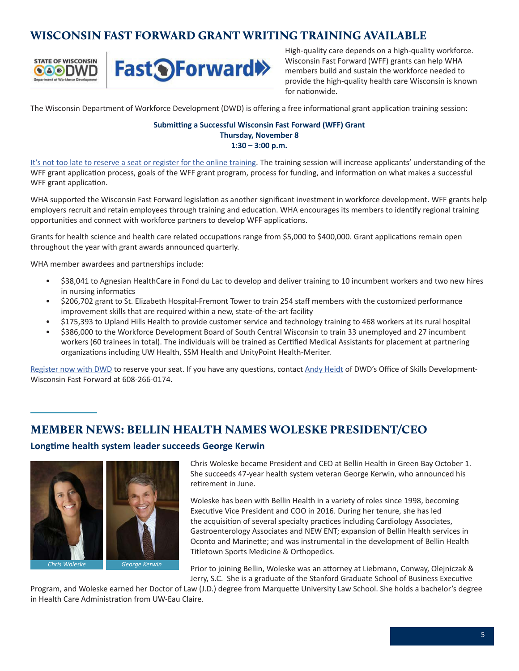# <span id="page-4-0"></span>WISCONSIN FAST FORWARD GRANT WRITING TRAINING AVAILABLE



High-quality care depends on a high-quality workforce. Wisconsin Fast Forward (WFF) grants can help WHA members build and sustain the workforce needed to provide the high-quality health care Wisconsin is known for nationwide.

The Wisconsin Department of Workforce Development (DWD) is offering a free informational grant application training session:

### **Submitting a Successful Wisconsin Fast Forward (WFF) Grant Thursday, November 8 1:30 – 3:00 p.m.**

[It's not too late to reserve a seat or register for the online training](https://webapps.dwd.state.wi.us/DWDLearningCenter/Login.aspx). The training session will increase applicants' understanding of the WFF grant application process, goals of the WFF grant program, process for funding, and information on what makes a successful WFF grant application.

WHA supported the Wisconsin Fast Forward legislation as another significant investment in workforce development. WFF grants help employers recruit and retain employees through training and education. WHA encourages its members to identify regional training opportunities and connect with workforce partners to develop WFF applications.

Grants for health science and health care related occupations range from \$5,000 to \$400,000. Grant applications remain open throughout the year with grant awards announced quarterly.

WHA member awardees and partnerships include:

- \$38,041 to Agnesian HealthCare in Fond du Lac to develop and deliver training to 10 incumbent workers and two new hires in nursing informatics
- \$206,702 grant to St. Elizabeth Hospital-Fremont Tower to train 254 staff members with the customized performance improvement skills that are required within a new, state-of-the-art facility
- \$175,393 to Upland Hills Health to provide customer service and technology training to 468 workers at its rural hospital
- \$386,000 to the Workforce Development Board of South Central Wisconsin to train 33 unemployed and 27 incumbent workers (60 trainees in total). The individuals will be trained as Certified Medical Assistants for placement at partnering organizations including UW Health, SSM Health and UnityPoint Health-Meriter.

[Register now with DWD](https://webapps.dwd.state.wi.us/DWDLearningCenter/Login.aspx) to reserve your seat. If you have any questions, contact [Andy Heidt](mailto:Andrew.heidt@dwd.wisconsin.gov) of DWD's Office of Skills Development-Wisconsin Fast Forward at 608-266-0174.

## MEMBER NEWS: BELLIN HEALTH NAMES WOLESKE PRESIDENT/CEO

### **Longtime health system leader succeeds George Kerwin**



Chris Woleske became President and CEO at Bellin Health in Green Bay October 1. She succeeds 47-year health system veteran George Kerwin, who announced his retirement in June.

Woleske has been with Bellin Health in a variety of roles since 1998, becoming Executive Vice President and COO in 2016. During her tenure, she has led the acquisition of several specialty practices including Cardiology Associates, Gastroenterology Associates and NEW ENT; expansion of Bellin Health services in Oconto and Marinette; and was instrumental in the development of Bellin Health Titletown Sports Medicine & Orthopedics.

Prior to joining Bellin, Woleske was an attorney at Liebmann, Conway, Olejniczak & Jerry, S.C. She is a graduate of the Stanford Graduate School of Business Executive

Program, and Woleske earned her Doctor of Law (J.D.) degree from Marquette University Law School. She holds a bachelor's degree in Health Care Administration from UW-Eau Claire.